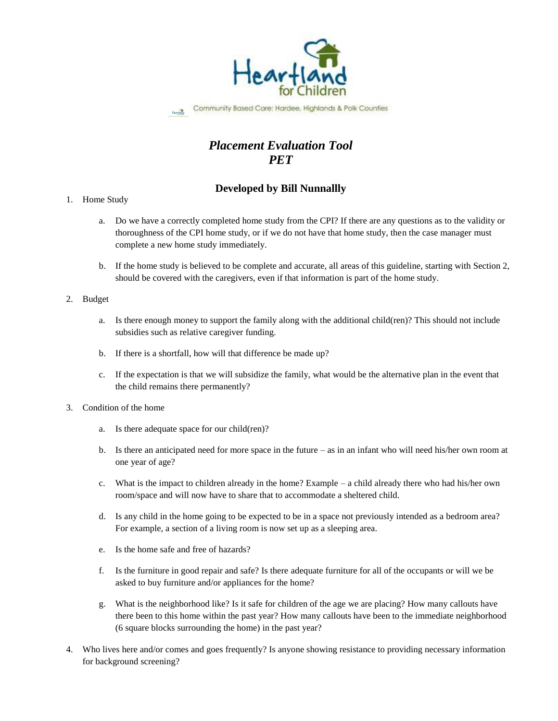

Community Based Care: Hardee, Highlands & Polk Counties

# *Placement Evaluation Tool PET*

## **Developed by Bill Nunnallly**

### 1. Home Study

- a. Do we have a correctly completed home study from the CPI? If there are any questions as to the validity or thoroughness of the CPI home study, or if we do not have that home study, then the case manager must complete a new home study immediately.
- b. If the home study is believed to be complete and accurate, all areas of this guideline, starting with Section 2, should be covered with the caregivers, even if that information is part of the home study.

### 2. Budget

- a. Is there enough money to support the family along with the additional child(ren)? This should not include subsidies such as relative caregiver funding.
- b. If there is a shortfall, how will that difference be made up?
- c. If the expectation is that we will subsidize the family, what would be the alternative plan in the event that the child remains there permanently?
- 3. Condition of the home
	- a. Is there adequate space for our child(ren)?
	- b. Is there an anticipated need for more space in the future as in an infant who will need his/her own room at one year of age?
	- c. What is the impact to children already in the home? Example a child already there who had his/her own room/space and will now have to share that to accommodate a sheltered child.
	- d. Is any child in the home going to be expected to be in a space not previously intended as a bedroom area? For example, a section of a living room is now set up as a sleeping area.
	- e. Is the home safe and free of hazards?
	- f. Is the furniture in good repair and safe? Is there adequate furniture for all of the occupants or will we be asked to buy furniture and/or appliances for the home?
	- g. What is the neighborhood like? Is it safe for children of the age we are placing? How many callouts have there been to this home within the past year? How many callouts have been to the immediate neighborhood (6 square blocks surrounding the home) in the past year?
- 4. Who lives here and/or comes and goes frequently? Is anyone showing resistance to providing necessary information for background screening?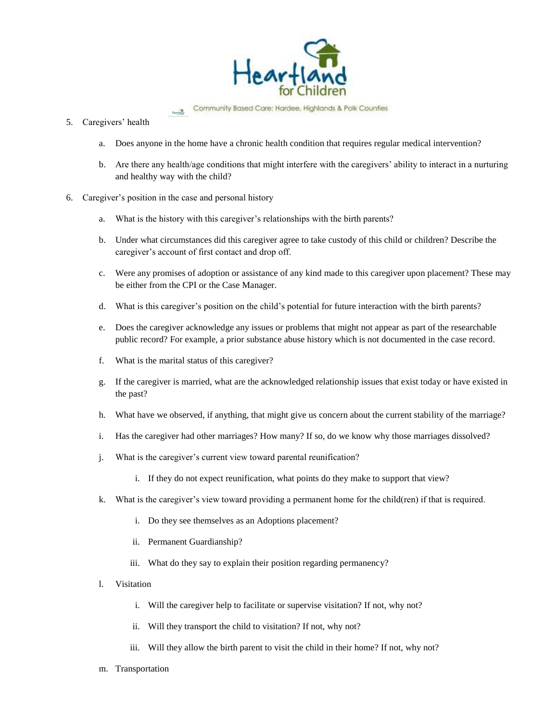

Community Based Care: Hardee, Highlands & Polk Counties  $H_{\text{e}}$  or  $H_{\text{e}}$ 

#### 5. Caregivers' health

- a. Does anyone in the home have a chronic health condition that requires regular medical intervention?
- b. Are there any health/age conditions that might interfere with the caregivers' ability to interact in a nurturing and healthy way with the child?
- 6. Caregiver's position in the case and personal history
	- a. What is the history with this caregiver's relationships with the birth parents?
	- b. Under what circumstances did this caregiver agree to take custody of this child or children? Describe the caregiver's account of first contact and drop off.
	- c. Were any promises of adoption or assistance of any kind made to this caregiver upon placement? These may be either from the CPI or the Case Manager.
	- d. What is this caregiver's position on the child's potential for future interaction with the birth parents?
	- e. Does the caregiver acknowledge any issues or problems that might not appear as part of the researchable public record? For example, a prior substance abuse history which is not documented in the case record.
	- f. What is the marital status of this caregiver?
	- g. If the caregiver is married, what are the acknowledged relationship issues that exist today or have existed in the past?
	- h. What have we observed, if anything, that might give us concern about the current stability of the marriage?
	- i. Has the caregiver had other marriages? How many? If so, do we know why those marriages dissolved?
	- j. What is the caregiver's current view toward parental reunification?
		- i. If they do not expect reunification, what points do they make to support that view?
	- k. What is the caregiver's view toward providing a permanent home for the child(ren) if that is required.
		- i. Do they see themselves as an Adoptions placement?
		- ii. Permanent Guardianship?
		- iii. What do they say to explain their position regarding permanency?
	- l. Visitation
		- i. Will the caregiver help to facilitate or supervise visitation? If not, why not?
		- ii. Will they transport the child to visitation? If not, why not?
		- iii. Will they allow the birth parent to visit the child in their home? If not, why not?
	- m. Transportation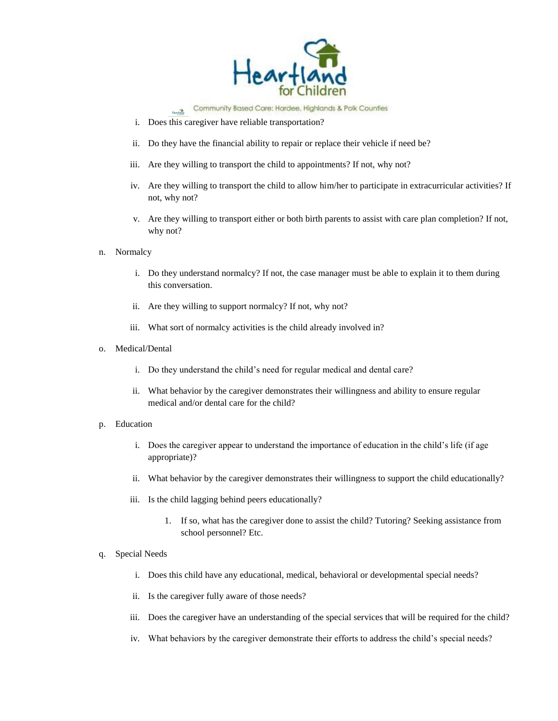

Community Based Care: Hardee, Highlands & Polk Counties **Heartland** 

- i. Does this caregiver have reliable transportation?
- ii. Do they have the financial ability to repair or replace their vehicle if need be?
- iii. Are they willing to transport the child to appointments? If not, why not?
- iv. Are they willing to transport the child to allow him/her to participate in extracurricular activities? If not, why not?
- v. Are they willing to transport either or both birth parents to assist with care plan completion? If not, why not?
- n. Normalcy
	- i. Do they understand normalcy? If not, the case manager must be able to explain it to them during this conversation.
	- ii. Are they willing to support normalcy? If not, why not?
	- iii. What sort of normalcy activities is the child already involved in?
- o. Medical/Dental
	- i. Do they understand the child's need for regular medical and dental care?
	- ii. What behavior by the caregiver demonstrates their willingness and ability to ensure regular medical and/or dental care for the child?
- p. Education
	- i. Does the caregiver appear to understand the importance of education in the child's life (if age appropriate)?
	- ii. What behavior by the caregiver demonstrates their willingness to support the child educationally?
	- iii. Is the child lagging behind peers educationally?
		- 1. If so, what has the caregiver done to assist the child? Tutoring? Seeking assistance from school personnel? Etc.
- q. Special Needs
	- i. Does this child have any educational, medical, behavioral or developmental special needs?
	- ii. Is the caregiver fully aware of those needs?
	- iii. Does the caregiver have an understanding of the special services that will be required for the child?
	- iv. What behaviors by the caregiver demonstrate their efforts to address the child's special needs?